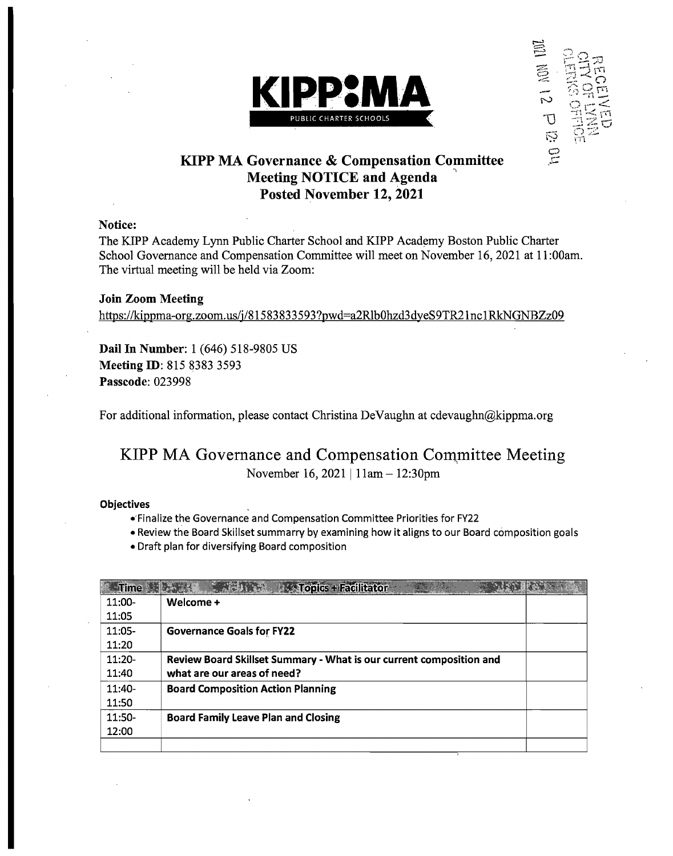



## KIPP MA Governance & Compensation Committee **Meeting NOTICE and Agenda** Posted November 12, 2021

#### Notice:

The KIPP Academy Lynn Public Charter School and KlPP Academy Boston Public Charter School Governance and Compensation Committee will meet on November 16,2021 at 11:00am. The virtual meeting will be held via Zoom:

Join Zoom Meeting https://kippma-org.zoom.us/j/81583833593?pwd=a2Rlb0hzd3dyeS9TR21nc1RkNGNBZz09

Dail In Number: 1 (646) 518-9805 US Meeting ID: 815 8383 3593 Passcode: 023998

For additional information, please contact Christina DeVaughn at cdevaughn@kippma.org

## KIPP MA Governance and Compensation Committee Meeting November 16, 2021 | 11am - 12:30pm

#### **Objectives**

- .'Finalize the Governance and Compensation Committee Priorities for FY22
- Review the Board Skillset summarry by examining how it aligns to our Board composition goals
- Draft plan for diversifying Board composition

| <b>Inne</b> | <b>A Topics + Facilitator</b>                                       |  |
|-------------|---------------------------------------------------------------------|--|
| $11:00-$    | Welcome +                                                           |  |
| 11:05       |                                                                     |  |
| $11:05-$    | <b>Governance Goals for FY22</b>                                    |  |
| 11:20       |                                                                     |  |
| $11:20-$    | Review Board Skillset Summary - What is our current composition and |  |
| 11:40       | what are our areas of need?                                         |  |
| $11:40-$    | <b>Board Composition Action Planning</b>                            |  |
| 11:50       |                                                                     |  |
| 11:50-      | <b>Board Family Leave Plan and Closing</b>                          |  |
| 12:00       |                                                                     |  |
|             |                                                                     |  |